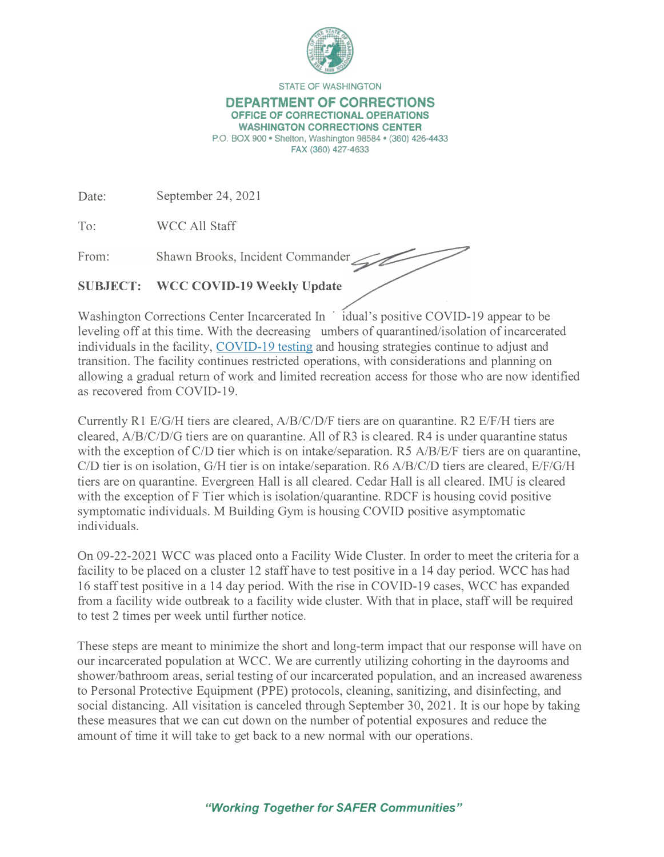

**STATE OF WASHINGTON** 

## **DEPARTMENT OF CORRECTIONS OFFICE OF CORRECTIONAL OPERATlONS**

**WASHINGTON CORRECTIONS CENTER P.O. BOX 900 • Shelton, Washington 98584 • (360) 426-4433** 

**FAX (360) 427-4633** 

Date: September 24, 2021

To: WCC All Staff

From: Shawn Brooks, Incident Commander

## **SUBJECT: WCC COVID-19 Weekly Update**

Washington Corrections Center Incarcerated In  $\dot{\text{1}}$  idual's positive COVID-19 appear to be leveling off at this time. With the decreasing umbers of quarantined/isolation of incarcerated individuals in the facility, COVID-19 testing and housing strategies continue to adjust and transition. The facility continues restricted operations, with considerations and planning on allowing a gradual return of work and limited recreation access for those who are now identified as recovered from COVID-19.

Currently RI E/G/H tiers are cleared, A/B/C/D/F tiers are on quarantine. R2 E/F/H tiers are cleared, A/B/C/D/G tiers are on quarantine. All of R3 is cleared. R4 is under quarantine status with the exception of *C*/D tier which is on intake/separation. R5 A/B/E/F tiers are on quarantine, *CID* tier is on isolation, G/H tier is on intake/separation. R6 A/B/C/D tiers are cleared, E/F/G/H tiers are on quarantine. Evergreen Hall is all cleared. Cedar Hall is all cleared. IMU is cleared with the exception of F Tier which is isolation/quarantine. RDCF is housing covid positive symptomatic individuals. M Building Gym is housing COVID positive asymptomatic individuals.

On 09-22-2021 WCC was placed onto a Facility Wide Cluster. In order to meet the criteria for a facility to be placed on a cluster 12 staff have to test positive in a 14 day period. WCC has had 16 staff test positive in a 14 day period. With the rise in COVID-19 cases, WCC has expanded from a facility wide outbreak to a facility wide cluster. With that in place, staff will be required to test 2 times per week until further notice.

These steps are meant to minimize the short and long-term impact that our response will have on our incarcerated population at WCC. We are currently utilizing cohorting in the dayrooms and shower/bathroom areas, serial testing of our incarcerated population, and an increased awareness to Personal Protective Equipment (PPE) protocols, cleaning, sanitizing, and disinfecting, and social distancing. All visitation is canceled through September 30, 2021. It is our hope by taking these measures that we can cut down on the number of potential exposures and reduce the amount of time it will take to get back to a new normal with our operations.